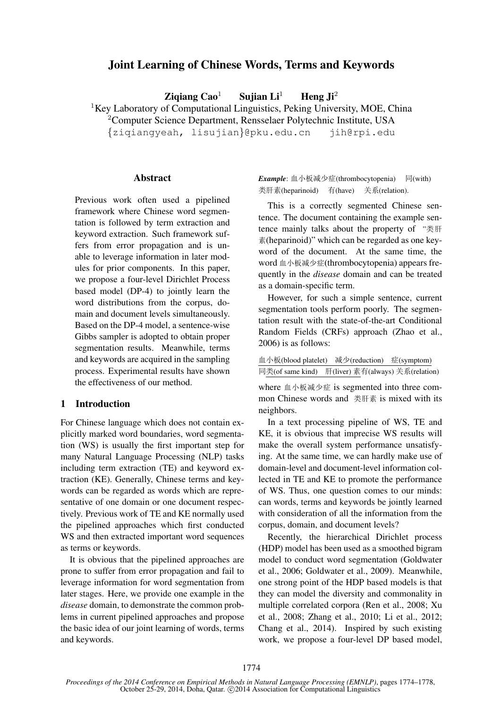# Joint Learning of Chinese Words, Terms and Keywords

Zigiang Cao<sup>1</sup> Sujian Li<sup>1</sup> Heng Ji<sup>2</sup>

<sup>1</sup>Key Laboratory of Computational Linguistics, Peking University, MOE, China

<sup>2</sup>Computer Science Department, Rensselaer Polytechnic Institute, USA

{ziqiangyeah, lisujian}@pku.edu.cn jih@rpi.edu

#### **Abstract**

Previous work often used a pipelined framework where Chinese word segmentation is followed by term extraction and keyword extraction. Such framework suffers from error propagation and is unable to leverage information in later modules for prior components. In this paper, we propose a four-level Dirichlet Process based model (DP-4) to jointly learn the word distributions from the corpus, domain and document levels simultaneously. Based on the DP-4 model, a sentence-wise Gibbs sampler is adopted to obtain proper segmentation results. Meanwhile, terms and keywords are acquired in the sampling process. Experimental results have shown the effectiveness of our method.

# 1 Introduction

For Chinese language which does not contain explicitly marked word boundaries, word segmentation (WS) is usually the first important step for many Natural Language Processing (NLP) tasks including term extraction (TE) and keyword extraction (KE). Generally, Chinese terms and keywords can be regarded as words which are representative of one domain or one document respectively. Previous work of TE and KE normally used the pipelined approaches which first conducted WS and then extracted important word sequences as terms or keywords.

It is obvious that the pipelined approaches are prone to suffer from error propagation and fail to leverage information for word segmentation from later stages. Here, we provide one example in the *disease* domain, to demonstrate the common problems in current pipelined approaches and propose the basic idea of our joint learning of words, terms and keywords.

Example: 血小板减少症(thrombocytopenia) 同(with) 类肝素(heparinoid) 有(have) 关系(relation).

This is a correctly segmented Chinese sentence. The document containing the example sentence mainly talks about the property of  $"$ 素(heparinoid)" which can be regarded as one keyword of the document. At the same time, the word 血小板减少症(thrombocytopenia) appears frequently in the *disease* domain and can be treated as a domain-specific term.

However, for such a simple sentence, current segmentation tools perform poorly. The segmentation result with the state-of-the-art Conditional Random Fields (CRFs) approach (Zhao et al., 2006) is as follows:

| 血小板(blood platelet)                               |  | 减少(reduction) 症(symptom) |
|---------------------------------------------------|--|--------------------------|
| 同类(of same kind) 肝(liver) 素有(always) 关系(relation) |  |                          |

where 血小板减少症 is segmented into three common Chinese words and 类肝素 is mixed with its neighbors.

In a text processing pipeline of WS, TE and KE, it is obvious that imprecise WS results will make the overall system performance unsatisfying. At the same time, we can hardly make use of domain-level and document-level information collected in TE and KE to promote the performance of WS. Thus, one question comes to our minds: can words, terms and keywords be jointly learned with consideration of all the information from the corpus, domain, and document levels?

Recently, the hierarchical Dirichlet process (HDP) model has been used as a smoothed bigram model to conduct word segmentation (Goldwater et al., 2006; Goldwater et al., 2009). Meanwhile, one strong point of the HDP based models is that they can model the diversity and commonality in multiple correlated corpora (Ren et al., 2008; Xu et al., 2008; Zhang et al., 2010; Li et al., 2012; Chang et al., 2014). Inspired by such existing work, we propose a four-level DP based model,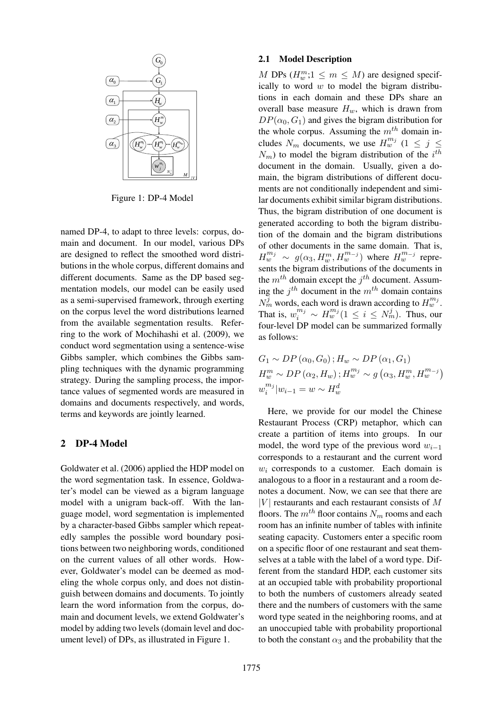

Figure 1: DP-4 Model

named DP-4, to adapt to three levels: corpus, domain and document. In our model, various DPs are designed to reflect the smoothed word distributions in the whole corpus, different domains and different documents. Same as the DP based segmentation models, our model can be easily used as a semi-supervised framework, through exerting on the corpus level the word distributions learned from the available segmentation results. Referring to the work of Mochihashi et al. (2009), we conduct word segmentation using a sentence-wise Gibbs sampler, which combines the Gibbs sampling techniques with the dynamic programming strategy. During the sampling process, the importance values of segmented words are measured in domains and documents respectively, and words, terms and keywords are jointly learned.

#### 2 DP-4 Model

Goldwater et al. (2006) applied the HDP model on the word segmentation task. In essence, Goldwater's model can be viewed as a bigram language model with a unigram back-off. With the language model, word segmentation is implemented by a character-based Gibbs sampler which repeatedly samples the possible word boundary positions between two neighboring words, conditioned on the current values of all other words. However, Goldwater's model can be deemed as modeling the whole corpus only, and does not distinguish between domains and documents. To jointly learn the word information from the corpus, domain and document levels, we extend Goldwater's model by adding two levels (domain level and document level) of DPs, as illustrated in Figure 1.

#### 2.1 Model Description

*H*tions in each domain and these DPs share an  $H^m_{\nu}$  *DP*( $\alpha_0$ ,  $G_1$ ) and gives the bigram distribution for  $\frac{1}{2}$   $\left| \left| \left( \widehat{H^n_w} \cdots \widehat{H^n_w} \cdots \widehat{H^n_w} \cdots \widehat{H^n_w} \right) \right| \right|$  cludes  $N_m$  documents, we use  $H^{m_j}_w$  ( $1 \leq j \leq n$ ) *M*<sub>IV</sub> main, the bigram distributions of different docu-M DPs  $(H_w^m; 1 \leq m \leq M)$  are designed specifically to word  $w$  to model the bigram distribuoverall base measure  $H_w$ , which is drawn from the whole corpus. Assuming the  $m<sup>th</sup>$  domain in- $N_m$ ) to model the bigram distribution of the  $i^{th}$ document in the domain. Usually, given a doments are not conditionally independent and similar documents exhibit similar bigram distributions. Thus, the bigram distribution of one document is generated according to both the bigram distribution of the domain and the bigram distributions of other documents in the same domain. That is,  $H_w^{m_j} \sim g(\alpha_3, H_w^m, H_w^{m_{-j}})$  where  $H_w^{m_{-j}}$  represents the bigram distributions of the documents in the  $m^{th}$  domain except the  $j^{th}$  document. Assuming the  $j^{th}$  document in the  $m^{th}$  domain contains  $N_m^j$  words, each word is drawn according to  $H_w^{m_j}$ . That is,  $w_i^{m_j} \sim H_w^{m_j} (1 \leq i \leq N_m^j)$ . Thus, our four-level DP model can be summarized formally as follows:

$$
G_1 \sim DP(\alpha_0, G_0); H_w \sim DP(\alpha_1, G_1)
$$
  
\n
$$
H_w^m \sim DP(\alpha_2, H_w); H_w^{m_j} \sim g(\alpha_3, H_w^m, H_w^{m-j})
$$
  
\n
$$
w_i^{m_j}|w_{i-1} = w \sim H_w^d
$$

Here, we provide for our model the Chinese Restaurant Process (CRP) metaphor, which can create a partition of items into groups. In our model, the word type of the previous word  $w_{i-1}$ corresponds to a restaurant and the current word  $w_i$  corresponds to a customer. Each domain is analogous to a floor in a restaurant and a room denotes a document. Now, we can see that there are  $|V|$  restaurants and each restaurant consists of M floors. The  $m^{th}$  floor contains  $N_m$  rooms and each room has an infinite number of tables with infinite seating capacity. Customers enter a specific room on a specific floor of one restaurant and seat themselves at a table with the label of a word type. Different from the standard HDP, each customer sits at an occupied table with probability proportional to both the numbers of customers already seated there and the numbers of customers with the same word type seated in the neighboring rooms, and at an unoccupied table with probability proportional to both the constant  $\alpha_3$  and the probability that the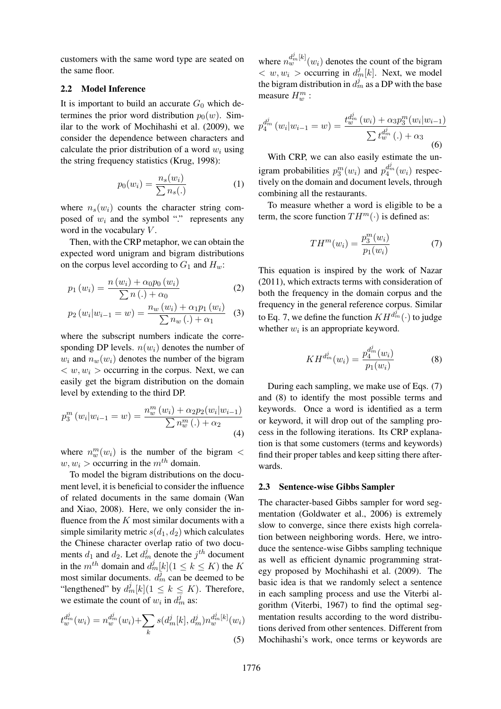customers with the same word type are seated on the same floor.

#### 2.2 Model Inference

It is important to build an accurate  $G_0$  which determines the prior word distribution  $p_0(w)$ . Similar to the work of Mochihashi et al. (2009), we consider the dependence between characters and calculate the prior distribution of a word  $w_i$  using the string frequency statistics (Krug, 1998):

$$
p_0(w_i) = \frac{n_s(w_i)}{\sum n_s(.)} \tag{1}
$$

where  $n_s(w_i)$  counts the character string composed of  $w_i$  and the symbol "." represents any word in the vocabulary  $V$ .

Then, with the CRP metaphor, we can obtain the expected word unigram and bigram distributions on the corpus level according to  $G_1$  and  $H_w$ :

$$
p_1(w_i) = \frac{n(w_i) + \alpha_0 p_0(w_i)}{\sum n(.) + \alpha_0}
$$
 (2)

$$
p_2(w_i|w_{i-1} = w) = \frac{n_w(w_i) + \alpha_1 p_1(w_i)}{\sum n_w(.) + \alpha_1}
$$
 (3)

where the subscript numbers indicate the corresponding DP levels.  $n(w_i)$  denotes the number of  $w_i$  and  $n_w(w_i)$  denotes the number of the bigram  $\langle w, w_i \rangle$  occurring in the corpus. Next, we can easily get the bigram distribution on the domain level by extending to the third DP.

$$
p_3^m(w_i|w_{i-1} = w) = \frac{n_w^m(w_i) + \alpha_2 p_2(w_i|w_{i-1})}{\sum n_w^m(.) + \alpha_2}
$$
\n(4)

where  $n_w^m(w_i)$  is the number of the bigram <  $w, w_i >$  occurring in the  $m<sup>th</sup>$  domain.

To model the bigram distributions on the document level, it is beneficial to consider the influence of related documents in the same domain (Wan and Xiao, 2008). Here, we only consider the influence from the  $K$  most similar documents with a simple similarity metric  $s(d_1, d_2)$  which calculates the Chinese character overlap ratio of two documents  $d_1$  and  $d_2$ . Let  $d_m^j$  denote the  $j^{th}$  document in the  $m^{th}$  domain and  $d_m^j[k]$  ( $1 \leq k \leq K$ ) the K most similar documents.  $d_m^j$  can be deemed to be "lengthened" by  $d_m^j[k]$  ( $1 \leq k \leq K$ ). Therefore, we estimate the count of  $w_i$  in  $d_m^j$  as:

$$
t_w^{d_m^j}(w_i) = n_w^{d_m^j}(w_i) + \sum_k s(d_m^j[k], d_m^j) n_w^{d_m^j[k]}(w_i)
$$
\n(5)

where  $n_w^{d_m^j[k]}(w_i)$  denotes the count of the bigram  $\langle w, w_i \rangle$  occurring in  $d_m^j[k]$ . Next, we model the bigram distribution in  $d_m^j$  as a DP with the base measure  $H_w^m$  :

$$
p_4^{d_m^j}(w_i|w_{i-1} = w) = \frac{t_w^{d_m^j}(w_i) + \alpha_3 p_3^m(w_i|w_{i-1})}{\sum t_w^{d_m^j}(\cdot) + \alpha_3}
$$
(6)

With CRP, we can also easily estimate the unigram probabilities  $p_3^m(w_i)$  and  $p_4^{d_m^j}(w_i)$  respectively on the domain and document levels, through combining all the restaurants.

To measure whether a word is eligible to be a term, the score function  $TH^m(\cdot)$  is defined as:

$$
TH^{m}(w_{i}) = \frac{p_{3}^{m}(w_{i})}{p_{1}(w_{i})}
$$
\n(7)

This equation is inspired by the work of Nazar (2011), which extracts terms with consideration of both the frequency in the domain corpus and the frequency in the general reference corpus. Similar to Eq. 7, we define the function  $KH^{d_m^j}(\cdot)$  to judge whether  $w_i$  is an appropriate keyword.

$$
KH^{d_m^j}(w_i) = \frac{p_4^{d_m^j}(w_i)}{p_1(w_i)}
$$
(8)

During each sampling, we make use of Eqs. (7) and (8) to identify the most possible terms and keywords. Once a word is identified as a term or keyword, it will drop out of the sampling process in the following iterations. Its CRP explanation is that some customers (terms and keywords) find their proper tables and keep sitting there afterwards.

#### 2.3 Sentence-wise Gibbs Sampler

The character-based Gibbs sampler for word segmentation (Goldwater et al., 2006) is extremely slow to converge, since there exists high correlation between neighboring words. Here, we introduce the sentence-wise Gibbs sampling technique as well as efficient dynamic programming strategy proposed by Mochihashi et al. (2009). The basic idea is that we randomly select a sentence in each sampling process and use the Viterbi algorithm (Viterbi, 1967) to find the optimal segmentation results according to the word distributions derived from other sentences. Different from Mochihashi's work, once terms or keywords are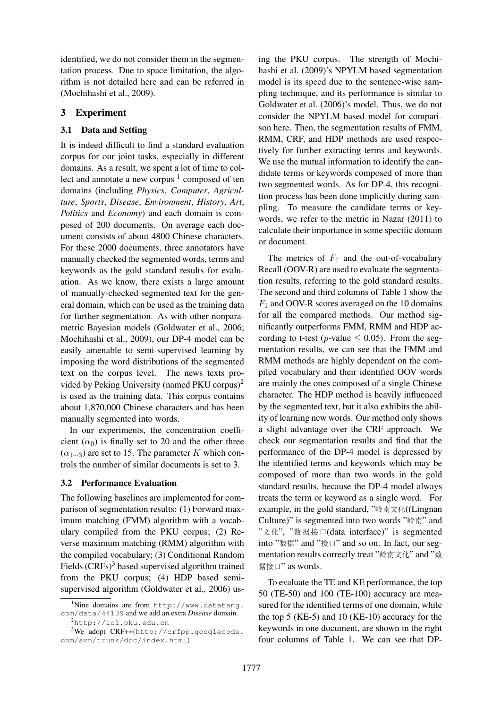identified, we do not consider them in the segmentation process. Due to space limitation, the algorithm is not detailed here and can be referred in (Mochihashi et al., 2009).

# 3 Experiment

### 3.1 Data and Setting

It is indeed difficult to find a standard evaluation corpus for our joint tasks, especially in different domains. As a result, we spent a lot of time to collect and annotate a new corpus  $1$  composed of ten domains (including *Physics*, *Computer*, *Agriculture*, *Sports*, *Disease*, *Environment*, *History*, *Art*, *Politics* and *Economy*) and each domain is composed of 200 documents. On average each document consists of about 4800 Chinese characters. For these 2000 documents, three annotators have manually checked the segmented words, terms and keywords as the gold standard results for evaluation. As we know, there exists a large amount of manually-checked segmented text for the general domain, which can be used as the training data for further segmentation. As with other nonparametric Bayesian models (Goldwater et al., 2006; Mochihashi et al., 2009), our DP-4 model can be easily amenable to semi-supervised learning by imposing the word distributions of the segmented text on the corpus level. The news texts provided by Peking University (named PKU corpus)<sup>2</sup> is used as the training data. This corpus contains about 1,870,000 Chinese characters and has been manually segmented into words.

In our experiments, the concentration coefficient  $(\alpha_0)$  is finally set to 20 and the other three  $(\alpha_{1\sim3})$  are set to 15. The parameter K which controls the number of similar documents is set to 3.

# 3.2 Performance Evaluation

The following baselines are implemented for comparison of segmentation results: (1) Forward maximum matching (FMM) algorithm with a vocabulary compiled from the PKU corpus; (2) Reverse maximum matching (RMM) algorithm with the compiled vocabulary; (3) Conditional Random Fields  $(CRFs)^3$  based supervised algorithm trained from the PKU corpus; (4) HDP based semisupervised algorithm (Goldwater et al., 2006) us-

ing the PKU corpus. The strength of Mochihashi et al. (2009)'s NPYLM based segmentation model is its speed due to the sentence-wise sampling technique, and its performance is similar to Goldwater et al. (2006)'s model. Thus, we do not consider the NPYLM based model for comparison here. Then, the segmentation results of FMM, RMM, CRF, and HDP methods are used respectively for further extracting terms and keywords. We use the mutual information to identify the candidate terms or keywords composed of more than two segmented words. As for DP-4, this recognition process has been done implicitly during sampling. To measure the candidate terms or keywords, we refer to the metric in Nazar (2011) to calculate their importance in some specific domain or document.

The metrics of  $F_1$  and the out-of-vocabulary Recall (OOV-R) are used to evaluate the segmentation results, referring to the gold standard results. The second and third columns of Table 1 show the  $F_1$  and OOV-R scores averaged on the 10 domains for all the compared methods. Our method significantly outperforms FMM, RMM and HDP according to t-test (p-value  $\leq$  0.05). From the segmentation results, we can see that the FMM and RMM methods are highly dependent on the compiled vocabulary and their identified OOV words are mainly the ones composed of a single Chinese character. The HDP method is heavily influenced by the segmented text, but it also exhibits the ability of learning new words. Our method only shows a slight advantage over the CRF approach. We check our segmentation results and find that the performance of the DP-4 model is depressed by the identified terms and keywords which may be composed of more than two words in the gold standard results, because the DP-4 model always treats the term or keyword as a single word. For example, in the gold standard, "岭南文化((Lingnan Culture)" is segmented into two words "岭南" and "á", "pn•"(data interface)" is segmented into "数据" and "接口" and so on. In fact, our segmentation results correctly treat "岭南文化" and "数 据接口" as words.

To evaluate the TE and KE performance, the top 50 (TE-50) and 100 (TE-100) accuracy are measured for the identified terms of one domain, while the top 5 (KE-5) and 10 (KE-10) accuracy for the keywords in one document, are shown in the right four columns of Table 1. We can see that DP-

 $1$ Nine domains are from http://www.datatang. com/data/44139 and we add an extra *Disease* domain.

<sup>2</sup>http://icl.pku.edu.cn

<sup>&</sup>lt;sup>3</sup>We adopt CRF++(http://crfpp.googlecode. com/svn/trunk/doc/index.html)